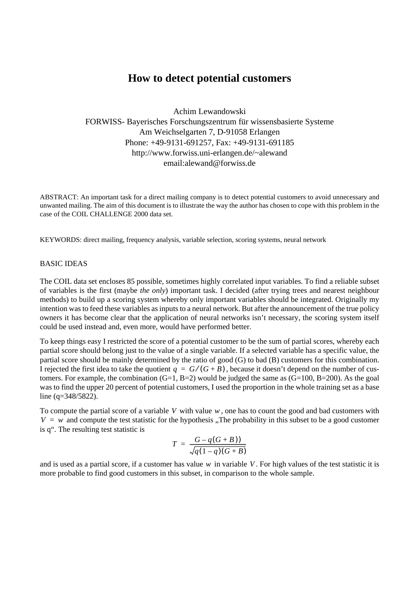# **How to detect potential customers**

Achim Lewandowski FORWISS- Bayerisches Forschungszentrum für wissensbasierte Systeme Am Weichselgarten 7, D-91058 Erlangen Phone: +49-9131-691257, Fax: +49-9131-691185 http://www.forwiss.uni-erlangen.de/~alewand email:alewand@forwiss.de

ABSTRACT: An important task for a direct mailing company is to detect potential customers to avoid unnecessary and unwanted mailing. The aim of this document is to illustrate the way the author has chosen to cope with this problem in the case of the COIL CHALLENGE 2000 data set.

KEYWORDS: direct mailing, frequency analysis, variable selection, scoring systems, neural network

#### BASIC IDEAS

The COIL data set encloses 85 possible, sometimes highly correlated input variables. To find a reliable subset of variables is the first (maybe *the only*) important task. I decided (after trying trees and nearest neighbour methods) to build up a scoring system whereby only important variables should be integrated. Originally my intention was to feed these variables as inputs to a neural network. But after the announcement of the true policy owners it has become clear that the application of neural networks isn't necessary, the scoring system itself could be used instead and, even more, would have performed better.

To keep things easy I restricted the score of a potential customer to be the sum of partial scores, whereby each partial score should belong just to the value of a single variable. If a selected variable has a specific value, the partial score should be mainly determined by the ratio of good (G) to bad (B) customers for this combination. I rejected the first idea to take the quotient  $q = G/(G+B)$ , because it doesn't depend on the number of customers. For example, the combination  $(G=1, B=2)$  would be judged the same as  $(G=100, B=200)$ . As the goal was to find the upper 20 percent of potential customers, I used the proportion in the whole training set as a base line (q=348/5822).

To compute the partial score of a variable  $V$  with value  $w$ , one has to count the good and bad customers with  $V = w$  and compute the test statistic for the hypothesis "The probability in this subset to be a good customer is q". The resulting test statistic is

$$
T = \frac{G - q(G + B))}{\sqrt{q(1-q)(G + B)}}
$$

and is used as a partial score, if a customer has value  $w$  in variable  $V$ . For high values of the test statistic it is more probable to find good customers in this subset, in comparison to the whole sample.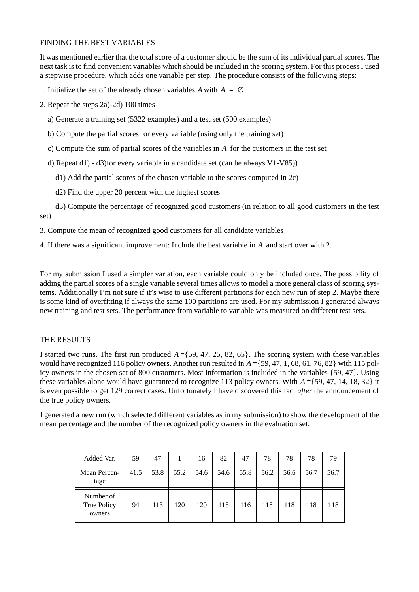## FINDING THE BEST VARIABLES

It was mentioned earlier that the total score of a customer should be the sum of its individual partial scores. The next task is to find convenient variables which should be included in the scoring system. For this process I used a stepwise procedure, which adds one variable per step. The procedure consists of the following steps:

1. Initialize the set of the already chosen variables A with  $A = \emptyset$ 

- 2. Repeat the steps 2a)-2d) 100 times
	- a) Generate a training set (5322 examples) and a test set (500 examples)
	- b) Compute the partial scores for every variable (using only the training set)
	- c) Compute the sum of partial scores of the variables in A for the customers in the test set
	- d) Repeat d1) d3)for every variable in a candidate set (can be always V1-V85))
		- d1) Add the partial scores of the chosen variable to the scores computed in 2c)
		- d2) Find the upper 20 percent with the highest scores
- d3) Compute the percentage of recognized good customers (in relation to all good customers in the test set)

3. Compute the mean of recognized good customers for all candidate variables

4. If there was a significant improvement: Include the best variable in A and start over with 2.

For my submission I used a simpler variation, each variable could only be included once. The possibility of adding the partial scores of a single variable several times allows to model a more general class of scoring systems. Additionally I'm not sure if it's wise to use different partitions for each new run of step 2. Maybe there is some kind of overfitting if always the same 100 partitions are used. For my submission I generated always new training and test sets. The performance from variable to variable was measured on different test sets.

#### THE RESULTS

I started two runs. The first run produced  $A = \{59, 47, 25, 82, 65\}$ . The scoring system with these variables would have recognized 116 policy owners. Another run resulted in  $A = \{59, 47, 1, 68, 61, 76, 82\}$  with 115 policy owners in the chosen set of 800 customers. Most information is included in the variables {59, 47}. Using these variables alone would have guaranteed to recognize 113 policy owners. With  $A = \{59, 47, 14, 18, 32\}$  it is even possible to get 129 correct cases. Unfortunately I have discovered this fact *after* the announcement of the true policy owners.

I generated a new run (which selected different variables as in my submission) to show the development of the mean percentage and the number of the recognized policy owners in the evaluation set:

| Added Var.                         | 59   | 47   |      | 16   | 82   | 47   | 78   | 78   | 78   | 79   |
|------------------------------------|------|------|------|------|------|------|------|------|------|------|
| Mean Percen-<br>tage               | 41.5 | 53.8 | 55.2 | 54.6 | 54.6 | 55.8 | 56.2 | 56.6 | 56.7 | 56.7 |
| Number of<br>True Policy<br>owners | 94   | 113  | 120  | 120  | 115  | 116  | 118  | 118  | 118  | 118  |